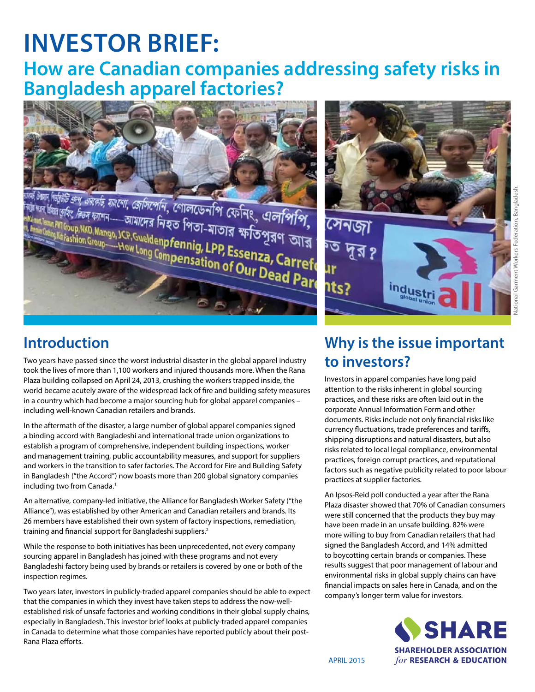# **INVESTOR BRIEF:**

## **How are Canadian companies addressing safety risks in Bangladesh apparel factories?**



<sup>26</sup> ক্রপ *এমরেট, যাংশো, জেসিপেনি,*  গোলডেনপি ফেনিং, এলপিপি,<br><sup>মহিং,</sup> দিন ফাশন----আমাদের নিহত পিতা-মাতার ক্ষতিপূরণ আর<br><sup>[foup,NKD,Mango,JCP,Gueldenpfennig, LPP, Feson, ১৯৯৯<br><sup>Frashion Group----How Long Cap**fennig, LPP, Feson</sup></sup>** And All Capital Countries and Countries and All Capital Countries (All Capital Countries and Countries and Countries and Countries (Capital Capital Capital Capital Capital Capital Countries (Capital Capital Capital Capital Fashion Group- How Long Compensation of Our Dead Pare





National Garment Workers Federation, Bangladesh.

### **Introduction**

Two years have passed since the worst industrial disaster in the global apparel industry took the lives of more than 1,100 workers and injured thousands more. When the Rana Plaza building collapsed on April 24, 2013, crushing the workers trapped inside, the world became acutely aware of the widespread lack of fire and building safety measures in a country which had become a major sourcing hub for global apparel companies – including well-known Canadian retailers and brands.

In the aftermath of the disaster, a large number of global apparel companies signed a binding accord with Bangladeshi and international trade union organizations to establish a program of comprehensive, independent building inspections, worker and management training, public accountability measures, and support for suppliers and workers in the transition to safer factories. The Accord for Fire and Building Safety in Bangladesh ("the Accord") now boasts more than 200 global signatory companies including two from Canada.<sup>1</sup>

An alternative, company-led initiative, the Alliance for Bangladesh Worker Safety ("the Alliance"), was established by other American and Canadian retailers and brands. Its 26 members have established their own system of factory inspections, remediation, training and financial support for Bangladeshi suppliers.2

While the response to both initiatives has been unprecedented, not every company sourcing apparel in Bangladesh has joined with these programs and not every Bangladeshi factory being used by brands or retailers is covered by one or both of the inspection regimes.

Two years later, investors in publicly-traded apparel companies should be able to expect that the companies in which they invest have taken steps to address the now-wellestablished risk of unsafe factories and working conditions in their global supply chains, especially in Bangladesh. This investor brief looks at publicly-traded apparel companies in Canada to determine what those companies have reported publicly about their post-Rana Plaza efforts.

### **Why is the issue important to investors?**

Investors in apparel companies have long paid attention to the risks inherent in global sourcing practices, and these risks are often laid out in the corporate Annual Information Form and other documents. Risks include not only financial risks like currency fluctuations, trade preferences and tariffs, shipping disruptions and natural disasters, but also risks related to local legal compliance, environmental practices, foreign corrupt practices, and reputational factors such as negative publicity related to poor labour practices at supplier factories.

An Ipsos-Reid poll conducted a year after the Rana Plaza disaster showed that 70% of Canadian consumers were still concerned that the products they buy may have been made in an unsafe building. 82% were more willing to buy from Canadian retailers that had signed the Bangladesh Accord, and 14% admitted to boycotting certain brands or companies. These results suggest that poor management of labour and environmental risks in global supply chains can have financial impacts on sales here in Canada, and on the company's longer term value for investors.

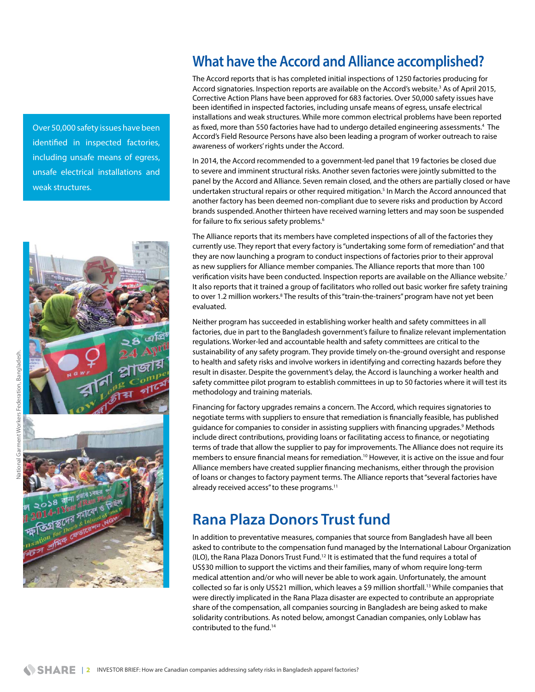Over 50,000 safety issues have been identified in inspected factories, including unsafe means of egress, unsafe electrical installations and weak structures.



### **What have the Accord and Alliance accomplished?**

The Accord reports that is has completed initial inspections of 1250 factories producing for Accord signatories. Inspection reports are available on the Accord's website.<sup>3</sup> As of April 2015, Corrective Action Plans have been approved for 683 factories. Over 50,000 safety issues have been identified in inspected factories, including unsafe means of egress, unsafe electrical installations and weak structures. While more common electrical problems have been reported as fixed, more than 550 factories have had to undergo detailed engineering assessments.<sup>4</sup> The Accord's Field Resource Persons have also been leading a program of worker outreach to raise awareness of workers' rights under the Accord.

In 2014, the Accord recommended to a government-led panel that 19 factories be closed due to severe and imminent structural risks. Another seven factories were jointly submitted to the panel by the Accord and Alliance. Seven remain closed, and the others are partially closed or have undertaken structural repairs or other required mitigation.<sup>5</sup> In March the Accord announced that another factory has been deemed non-compliant due to severe risks and production by Accord brands suspended.Another thirteen have received warning letters and may soon be suspended for failure to fix serious safety problems.<sup>6</sup>

The Alliance reports that its members have completed inspections of all of the factories they currently use. They report that every factory is "undertaking some form of remediation" and that they are now launching a program to conduct inspections of factories prior to their approval as new suppliers for Alliance member companies. The Alliance reports that more than 100 verification visits have been conducted. Inspection reports are available on the Alliance website.<sup>7</sup> It also reports that it trained a group of facilitators who rolled out basic worker fire safety training to over 1.2 million workers.<sup>8</sup> The results of this "train-the-trainers" program have not yet been evaluated.

Neither program has succeeded in establishing worker health and safety committees in all factories, due in part to the Bangladesh government's failure to finalize relevant implementation regulations. Worker-led and accountable health and safety committees are critical to the sustainability of any safety program. They provide timely on-the-ground oversight and response to health and safety risks and involve workers in identifying and correcting hazards before they result in disaster. Despite the government's delay, the Accord is launching a worker health and safety committee pilot program to establish committees in up to 50 factories where it will test its methodology and training materials.

Financing for factory upgrades remains a concern. The Accord, which requires signatories to negotiate terms with suppliers to ensure that remediation is financially feasible, has published guidance for companies to consider in assisting suppliers with financing upgrades.<sup>9</sup> Methods include direct contributions, providing loans or facilitating access to finance, or negotiating terms of trade that allow the supplier to pay for improvements. The Alliance does not require its members to ensure financial means for remediation.<sup>10</sup> However, it is active on the issue and four Alliance members have created supplier financing mechanisms, either through the provision of loans or changes to factory payment terms. The Alliance reports that "several factories have already received access" to these programs.<sup>11</sup>

### **Rana Plaza Donors Trust fund**

In addition to preventative measures, companies that source from Bangladesh have all been asked to contribute to the compensation fund managed by the International Labour Organization  $(ILO)$ , the Rana Plaza Donors Trust Fund.<sup>12</sup> It is estimated that the fund requires a total of US\$30 million to support the victims and their families, many of whom require long-term medical attention and/or who will never be able to work again. Unfortunately, the amount collected so far is only US\$21 million, which leaves a \$9 million shortfall.<sup>13</sup> While companies that were directly implicated in the Rana Plaza disaster are expected to contribute an appropriate share of the compensation, all companies sourcing in Bangladesh are being asked to make solidarity contributions. As noted below, amongst Canadian companies, only Loblaw has contributed to the fund.14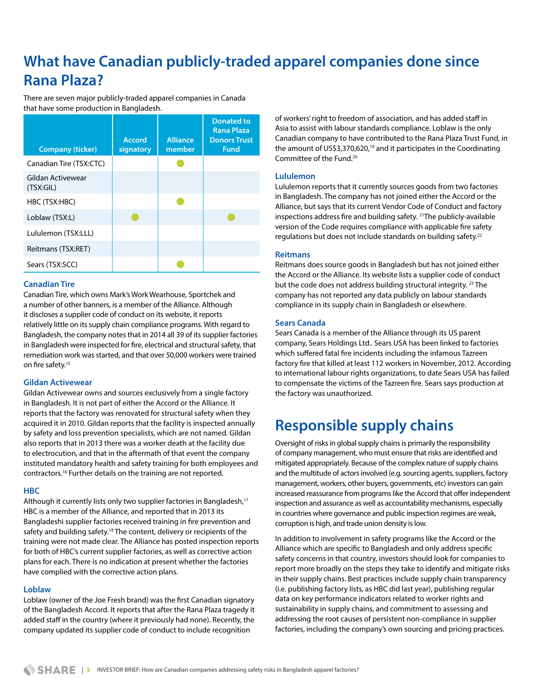### **What have Canadian publicly-traded apparel companies done since Rana Plaza?**

There are seven major publicly-traded apparel companies in Canada that have some production in Bangladesh.

| <b>Company (ticker)</b>        | <b>Accord</b><br>signatory | <b>Alliance</b><br>member | <b>Donated to</b><br>Rana Plaza<br><b>Donors Trust</b><br>Fund |
|--------------------------------|----------------------------|---------------------------|----------------------------------------------------------------|
| Canadian Tire (TSX:CTC)        |                            |                           |                                                                |
| Gildan Activewear<br>(TSX:GIL) |                            |                           |                                                                |
| HBC (TSX:HBC)                  |                            |                           |                                                                |
| Loblaw (TSX:L)                 |                            |                           |                                                                |
| Lululemon (TSX:LLL)            |                            |                           |                                                                |
| Reitmans (TSX:RET)             |                            |                           |                                                                |
| Sears (TSX:SCC)                |                            |                           |                                                                |

#### **Canadian Tire**

Canadian Tire, which owns Mark's Work Wearhouse, Sportchek and a number of other banners, is a member of the Alliance. Although it discloses a supplier code of conduct on its website, it reports relatively little on its supply chain compliance programs. With regard to Bangladesh, the company notes that in 2014 all 39 of its supplier factories in Bangladesh were inspected for fire, electrical and structural safety, that remediation work was started, and that over 50,000 workers were trained on fire safety.<sup>15</sup>

#### **Gildan Activewear**

Gildan Activewear owns and sources exclusively from a single factory in Bangladesh. It is not part of either the Accord or the Alliance. It reports that the factory was renovated for structural safety when they acquired it in 2010. Gildan reports that the facility is inspected annually by safety and loss prevention specialists, which are not named. Gildan also reports that in 2013 there was a worker death at the facility due to electrocution, and that in the aftermath of that event the company instituted mandatory health and safety training for both employees and contractors.16 Further details on the training are not reported.

#### **HBC**

Although it currently lists only two supplier factories in Bangladesh,<sup>17</sup> HBC is a member of the Alliance, and reported that in 2013 its Bangladeshi supplier factories received training in fire prevention and safety and building safety.<sup>18</sup> The content, delivery or recipients of the training were not made clear. The Alliance has posted inspection reports for both of HBC's current supplier factories, as well as corrective action plans for each. There is no indication at present whether the factories have complied with the corrective action plans.

#### **Loblaw**

Loblaw (owner of the Joe Fresh brand) was the first Canadian signatory of the Bangladesh Accord. It reports that after the Rana Plaza tragedy it added staff in the country (where it previously had none). Recently, the company updated its supplier code of conduct to include recognition

of workers' right to freedom of association, and has added staff in Asia to assist with labour standards compliance. Loblaw is the only Canadian company to have contributed to the Rana Plaza Trust Fund, in the amount of US\$3,370,620,<sup>19</sup> and it participates in the Coordinating Committee of the Fund.20

#### **Lululemon**

Lululemon reports that it currently sources goods from two factories in Bangladesh. The company has not joined either the Accord or the Alliance, but says that its current Vendor Code of Conduct and factory inspections address fire and building safety. 21The publicly-available version of the Code requires compliance with applicable fire safety regulations but does not include standards on building safety.22

#### **Reitmans**

Reitmans does source goods in Bangladesh but has not joined either the Accord or the Alliance. Its website lists a supplier code of conduct but the code does not address building structural integrity. 23 The company has not reported any data publicly on labour standards compliance in its supply chain in Bangladesh or elsewhere.

#### **Sears Canada**

Sears Canada is a member of the Alliance through its US parent company, Sears Holdings Ltd.. Sears USA has been linked to factories which suffered fatal fire incidents including the infamous Tazreen factory fire that killed at least 112 workers in November, 2012. According to international labour rights organizations, to date Sears USA has failed to compensate the victims of the Tazreen fire. Sears says production at the factory was unauthorized.

### **Responsible supply chains**

Oversight of risks in global supply chains is primarily the responsibility of company management, who must ensure that risks are identified and mitigated appropriately. Because of the complex nature of supply chains and the multitude of actors involved (e.g. sourcing agents, suppliers, factory management, workers, other buyers, governments, etc) investors can gain increased reassurance from programs like the Accord that offer independent inspection and assurance as well as accountability mechanisms, especially in countries where governance and public inspection regimes are weak, corruption is high, and trade union density is low.

In addition to involvement in safety programs like the Accord or the Alliance which are specific to Bangladesh and only address specific safety concerns in that country, investors should look for companies to report more broadly on the steps they take to identify and mitigate risks in their supply chains. Best practices include supply chain transparency (i.e. publishing factory lists, as HBC did last year), publishing regular data on key performance indicators related to worker rights and sustainability in supply chains, and commitment to assessing and addressing the root causes of persistent non-compliance in supplier factories, including the company's own sourcing and pricing practices.